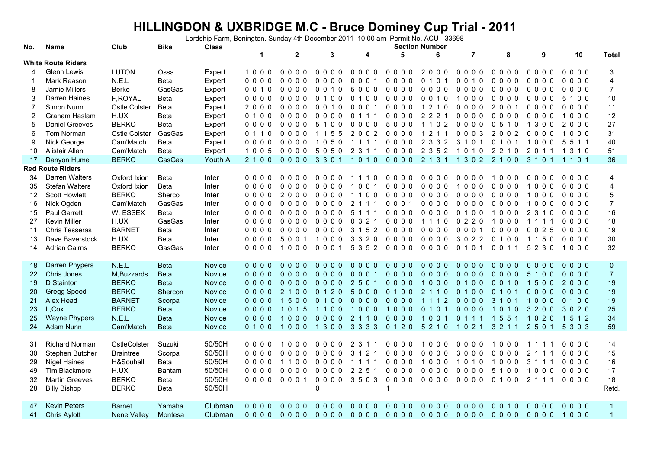## **HILLINGDON & UXBRIDGE M.C - Bruce Dominey Cup Trial - 2011** Lordship Farm, Benington. Sunday 4th December 2011 10:00 am Permit No. ACU - 33698

| No.            | Name                      | Club                 | <b>Bike</b> | <b>Class</b> | <b>Section Number</b> |              |                                                  |                                  |                 |                                    |                |                |                         |         |                |
|----------------|---------------------------|----------------------|-------------|--------------|-----------------------|--------------|--------------------------------------------------|----------------------------------|-----------------|------------------------------------|----------------|----------------|-------------------------|---------|----------------|
|                |                           |                      |             |              | $\mathbf{1}$          | $\mathbf{2}$ | 3                                                | 4                                | 5               | 6                                  | $\overline{7}$ | 8              | 9                       | 10      | <b>Total</b>   |
|                | <b>White Route Riders</b> |                      |             |              |                       |              |                                                  |                                  |                 |                                    |                |                |                         |         |                |
| 4              | Glenn Lewis               | <b>LUTON</b>         | Ossa        | Expert       | 1000                  | 0000         | 0000                                             | 0000                             | 0000            | 2000                               | 0000           | 0000           | 0000                    | 0000    | 3              |
|                | Mark Reason               | N.E.L                | Beta        | Expert       | $0000$                | $0000$       | 0000                                             | 0001                             | 0000            | 0 1 0 1                            | 0 0 1 0        | 0000           | $0000$                  | 0000    | 4              |
| 8              | Jamie Millers             | Berko                | GasGas      | Expert       | 0 0 1 0               | $0000$       | 0 0 1 0                                          | 5000                             | 0000            | 0000                               | 0000           | 0000           | 0000                    | 0000    | $\overline{7}$ |
| 3              | Darren Haines             | F, ROYAL             | Beta        | Expert       | $0000$                | $0000$       | 0 1 0 0                                          | $\Omega$<br>100                  | 0000            | 0 0 1 0                            | 1000           | $0000$         | $0000$                  | 5 1 0 0 | 10             |
| $\overline{7}$ | Simon Nunn                | <b>Cstle Colster</b> | Beta        | Expert       | 2000                  | $0000$       | 0 0 1 0                                          | 0 0 0 1                          | 0000            | 1 2 1 0                            | 0000           | 2 0 0 1        | 0000                    | 0000    | 11             |
| $\overline{2}$ | Graham Haslam             | H.UX                 | <b>Beta</b> | Expert       | 0 1 0 0               | $0000$       | 0000                                             | 0 1 1 1                          | 0000            | 2 2 2 1                            | $0000$         | 0000           | $0000$                  | 1000    | 12             |
| 5              | <b>Daniel Greeves</b>     | <b>BERKO</b>         | Beta        | Expert       | 0000                  | $0000$       | 5 1 0 0                                          | 0000                             | 5000            | 1 1 0 2                            | 0000           | 0 5 1 0        | 1 3 0 0                 | 2000    | 27             |
| 6              | Tom Norman                | <b>Cstle Colster</b> | GasGas      | Expert       | 0 1 1 0               | $0000$       | 1 1 5 5                                          | 2002                             | 0000            | 2 1 1<br>$\overline{1}$            | 0003           | 2002           | $0000$                  | 1000    | 31             |
| 9              | Nick George               | Cam'Match            | Beta        | Expert       | 0000                  | 0000         | 1050                                             | 1111                             | 0000            | 2 3 3 2                            | 3 1 0 1        | 0 1 0 1        | 1000                    | 5 5 1 1 | 40             |
| 10             | Alistair Allan            | Cam'Match            | Beta        | Expert       | 1005                  | 0000         | 5050                                             | 2 3 1 1                          | 0000            | 2 3 5 2                            | 1010           | 2 2 1 0        | 2 0 1 1                 | 1310    | 51             |
| 17             | Danyon Hume               | <b>BERKO</b>         | GasGas      | Youth A      | 2 1 0 0               | $0000$       | 3 3 0 1                                          | 1010                             | 0000            | 2 1 3 1                            | 1 3 0 2        | 2 1 0 0        | 3 1 0 1                 | 1 1 0 1 | 36             |
|                | <b>Red Route Riders</b>   |                      |             |              |                       |              |                                                  |                                  |                 |                                    |                |                |                         |         |                |
| 34             | Darren Walters            | Oxford Ixion         | <b>Beta</b> | Inter        | 0000                  | 0000         | 0000                                             | 1110                             | 0000            | 0000                               | 0000           | 1000           | $0000$                  | 0000    | 4              |
| 35             | <b>Stefan Walters</b>     | Oxford Ixion         | Beta        | Inter        | 0000                  | $0000$       | 0000                                             | 1001                             | 0000            | 0000                               | 1000           | 0000           | 1000                    | 0000    | 4              |
| 12             | <b>Scott Howlett</b>      | <b>BERKO</b>         | Sherco      | Inter        | 0000                  | 2000         | 0000                                             | 1100                             | $0000$          | $0000$                             | 0000           | $0000$         | 1000                    | $0000$  | 5              |
| 16             | Nick Ogden                | Cam'Match            | GasGas      | Inter        | 0000                  | 0000         | 0000                                             | 2 1 1 1                          | 0001            | 0000                               | 0000           | 0000           | 1000                    | 0000    | $\overline{7}$ |
| 15             | <b>Paul Garrett</b>       | W, ESSEX             | Beta        | Inter        | 0000                  | $0000$       | 0000                                             | 5 1 1 1                          | 0000            | 0000                               | 0100           | 1000           | 2 3 1 0                 | $0000$  | 16             |
| 27             | Kevin Miller              | H.UX                 | GasGas      | Inter        | 0000                  | 0000         | 0000                                             | 0321                             | 0000            | 1110                               | 0220           | 1000           | 1 1 1 1                 | 0000    | 18             |
| 11             | <b>Chris Tesseras</b>     | <b>BARNET</b>        | Beta        | Inter        | $0000$                | $0000$       | 0000                                             | 3 1 5 2                          | $0000$          | 0000                               | 0 0 0 1        | 0000           | 0025                    | $0000$  | 19             |
| 13             | Dave Baverstock           | H.UX                 | Beta        | Inter        | 0000                  | 5 0 0 1      | 1000                                             | 3 3 2 0                          | 0000            | 0000                               | 3 0 2 2        | 0 1 0 0        | 1 1 5 0                 | 0000    | 30             |
| 14             | <b>Adrian Cairns</b>      | <b>BERKO</b>         | GasGas      | Inter        | 0000                  | 1000         | 0001                                             | 5 3 5 2                          | 0000            | 0000                               | 0 1 0 1        | 0 0 1 1        | 5 2 3 0                 | 1000    | 32             |
|                |                           |                      |             |              |                       |              |                                                  |                                  |                 |                                    |                |                |                         |         |                |
| 18             | Darren Phypers            | N.E.L                | <b>Beta</b> | Novice       | $0000$                | $0000$       | $0000$                                           | $0000$                           | $0000$          | $0000$                             | $0000$         | $0000$         | $0000$                  | $0000$  | $\pmb{0}$      |
| 22             | <b>Chris Jones</b>        | M, Buzzards          | <b>Beta</b> | Novice       | $0000$                | $0000$       | $0000$                                           | 0001                             | $0000$          | $0000$                             | $0000$         | $0000$         | 5 1 0 0                 | $0000$  | $\overline{7}$ |
| 19             | D Stainton                | <b>BERKO</b>         | <b>Beta</b> | Novice       | $0000$                | $0000$       | $0000$                                           | 2 5 0 1                          | $0000$          | 1000                               | 0 1 0 0        | 0010           | 1500                    | 2000    | 19             |
| 20             | Gregg Speed               | <b>BERKO</b>         | Shercon     | Novice       | 0000                  | 2 1 0 0      | 0 1 2 0                                          | 5000                             | 0 1 0 0         | 2 1 1 0                            | 0 1 0 0        | 0 1 0 1        | $0000$                  | $0000$  | 19             |
| 21             | Alex Head                 | <b>BARNET</b>        | Scorpa      | Novice       | $0000$                | 1500         | 0 1 0 0                                          | $0000$                           | $0000$          | 1 1 1 2                            | 0000           | 3 1 0 1        | 1000                    | 0 1 0 0 | 19             |
| 23             | L,Cox                     | <b>BERKO</b>         | <b>Beta</b> | Novice       | $0000$                | 1 0 1 5      | 1100                                             | 1000                             | 1000            | 0 1 0 1                            | 0000           | 1010           | 3200                    | 3020    | 25             |
| 25             | <b>Wayne Phypers</b>      | N.E.L                | <b>Beta</b> | Novice       | $0000$                | 1000         | $0000$                                           | 2 1 1 0                          | $0000$          | 1001                               | 0 1 1 1        | 1551           | 1020                    | 1512    | 34             |
| 24             | Adam Nunn                 | Cam'Match            | <b>Beta</b> | Novice       | 0 1 0 0               | 1000         | 1300                                             | 3 3 3 3                          | 0 1 2 0         | 5 2 1 0                            | 1 0 2 1        | 3 2 1 1        | 2501                    | 5 3 0 3 | 59             |
|                |                           |                      |             |              |                       |              |                                                  |                                  |                 |                                    |                |                |                         |         |                |
| 31             | <b>Richard Norman</b>     | CstleColster         | Suzuki      | 50/50H       | $0000$                | 1000         | 0000                                             | 2 3 1 1                          | 0000            | 1000                               | 0000           | 1000           | 1 1 1 1                 | 0000    | 14             |
| 30             | Stephen Butcher           | <b>Braintree</b>     | Scorpa      | 50/50H       | $0000$                | $0000$       | 0000                                             | 3 1 2 1                          | $0000$          | 0000                               | 3000           | 0000           | $\overline{2}$<br>1 1 1 | $0000$  | 15             |
| 29             | <b>Nigel Haines</b>       | H&Souhall            | Beta        | 50/50H       | 0000                  | 1100         | $0000$                                           | 1 1 1<br>-1                      | 0000            | 1000                               | 1010           | 1000           | 3<br>111                | 0000    | 16             |
| 49             | Tim Blackmore             | H.UX                 | Bantam      | 50/50H       | $0000$                | $0000$       | $0000$                                           | 2 2 5 1                          | $0000$          | $0000$                             | $0000$         | 5100           | 1000                    | $0000$  | 17             |
| 32             | <b>Martin Greeves</b>     | <b>BERKO</b>         | Beta        | 50/50H       | 0000                  | 0001         | $0000$                                           | 3503                             | 0000            | $0000$                             | 0000           | 0 1 0 0        | 2 1 1 1                 | 0000    | 18             |
| 28             | <b>Billy Bishop</b>       | <b>BERKO</b>         | Beta        | 50/50H       |                       |              | $\Omega$                                         |                                  | $\mathbf{1}$    |                                    |                |                |                         |         | Retd.          |
|                |                           |                      |             |              |                       |              |                                                  |                                  |                 |                                    |                |                |                         |         |                |
| 47             | <b>Kevin Peters</b>       | <b>Barnet</b>        | Yamaha      | Clubman      | $0000$                | $0000$       | 0 <sub>0</sub><br>$\overline{0}$<br>$\mathbf{0}$ | 0 <sub>0</sub><br>0 <sub>0</sub> | 000<br>$\Omega$ | $0000$                             | $0000$         | 0010           | $0000$                  | $0000$  | $\overline{1}$ |
| 41             | <b>Chris Aylott</b>       | Nene Valley          | Montesa     | Clubman      |                       |              |                                                  |                                  |                 | 0000 0000 0000 0000 0000 0000 0000 |                | 0000 0000 1000 |                         |         | $\overline{1}$ |
|                |                           |                      |             |              |                       |              |                                                  |                                  |                 |                                    |                |                |                         |         |                |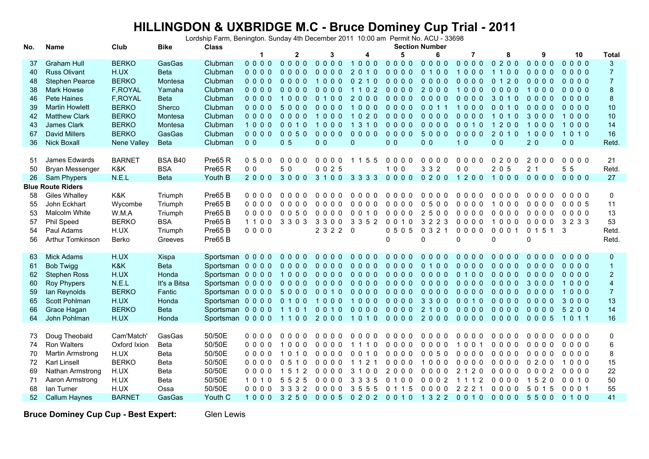## **HILLINGDON & UXBRIDGE M.C - Bruce Dominey Cup Trial - 2011** Lordship Farm, Benington. Sunday 4th December 2011 10:00 am Permit No. ACU - 33698

| No. | Club<br><b>Bike</b><br><b>Class</b><br>Name |               |              |                          |                |                         |                |              | <b>Section Number</b> |                                              |                          |                |                                  |                               |                         |
|-----|---------------------------------------------|---------------|--------------|--------------------------|----------------|-------------------------|----------------|--------------|-----------------------|----------------------------------------------|--------------------------|----------------|----------------------------------|-------------------------------|-------------------------|
|     |                                             |               |              |                          | -1             | $\mathbf{2}$            | 3              |              | 5                     | 6                                            | 7                        | 8              | 9                                | 10                            | <b>Total</b>            |
| 37  | <b>Graham Hull</b>                          | <b>BERKO</b>  | GasGas       | Clubman                  | $0000$         | $0000$                  | $0000$         | 1000         | $0000$                | $0000$                                       | $0000$                   | 0200           | 0000                             | $0000$                        | $\mathbf{3}$            |
| 40  | <b>Russ Olivant</b>                         | H.UX          | <b>Beta</b>  | Clubman                  | $0000$         | $0000$                  | $0000$         | 2 0 1 0      | $0000$                | 0 1 0 0                                      | 1000                     | 1100           | $0000$                           | 0000                          | $\overline{7}$          |
| 48  | <b>Stephen Pearce</b>                       | <b>BERKO</b>  | Montesa      | Clubman                  | $0000$         | 0000                    | 1000           | 0210         | $0000$                | $0000$                                       | $0000$                   | 0 1 2 0        | $0000$                           | $0000$                        | $\overline{7}$          |
| 38  | <b>Mark Howse</b>                           | F, ROYAL      | Yamaha       | Clubman                  | $0000$         | $0000$                  | $0000$         | 1 1 0 2      | $0000$                | 2000                                         | 1000                     | $0000$         | 1000                             | 0000                          | $\bf 8$                 |
| 46  | Pete Haines                                 | F, ROYAL      | <b>Beta</b>  | Clubman                  | $0000$         | 1000                    | 0 1 0 0        | 2000         | $0000$                | $0000$                                       | $0000$                   | 3010           | $0000$                           | $0000$                        | $\bf 8$                 |
| 39  | <b>Martin Howlett</b>                       | <b>BERKO</b>  | Sherco       | Clubman                  | $0000$         | 5000                    | $0000$         | 1000         | $0000$                | 0 0 1 1                                      | 1000                     | $0010$         | 0000                             | $0000$                        | 10                      |
| 42  | <b>Matthew Clark</b>                        | <b>BERKO</b>  | Montesa      | Clubman                  | $0000$         | $0000$                  | 1000           | 1020         | $0000$                | $0000$                                       | 0000                     | 1010           | 3 <sub>0</sub><br>0 <sub>0</sub> | 000<br>$\overline{1}$         | 10                      |
| 43  | James Clark                                 | <b>BERKO</b>  | Montesa      | Clubman                  | 1000           | 0010                    | 1000           | 1 3 1 0      | 0000                  | $0000$                                       | 0010                     | 1200           | 1000                             | 1000                          | 14                      |
| 67  | <b>David Millers</b>                        | <b>BERKO</b>  | GasGas       | Clubman                  | $0000$         | 0050                    | 0000           | 0000         | 0000                  | 5000                                         | 0000                     | 2 0 1 0        | 1000                             | 1010                          | 16                      |
| 36  | <b>Nick Boxall</b>                          | Nene Valley   | <b>Beta</b>  | Clubman                  | 0 <sub>0</sub> | 0 <sub>5</sub>          | 0 <sub>0</sub> | $\mathbf{0}$ | 0 <sub>0</sub>        | 0 <sub>0</sub>                               | 1 <sub>0</sub>           | 0 <sub>0</sub> | 20                               | 0 <sub>0</sub>                | Retd.                   |
|     |                                             |               |              |                          |                |                         |                |              |                       |                                              |                          |                |                                  |                               |                         |
| 51  | James Edwards                               | <b>BARNET</b> | BSA B40      | Pre65 <sub>R</sub>       | 0500           | 0000                    | 0000           | 1 1 5 5      | $0000$                | 0000                                         | $0000$                   | 0200           | 2000                             | 0000                          | 21                      |
| 50  | Bryan Messenger                             | K&K           | <b>BSA</b>   | Pre65 <sub>R</sub>       | 0 <sub>0</sub> | 5 0                     | 0025           |              | 100                   | 3 3 2                                        | 0 <sub>0</sub>           | 2 0 5          | 2 <sub>1</sub>                   | 5<br>5                        | Retd.                   |
| 26  | Sam Phypers                                 | N.E.L         | <b>Beta</b>  | Youth B                  | 2000           | 3000                    | 3 1 0 0        | 3 3 3 3      | 0000                  | 0200                                         | 1200                     | 1000           | 0000                             | 0000                          | 27                      |
|     | <b>Blue Route Riders</b>                    |               |              |                          |                |                         |                |              |                       |                                              |                          |                |                                  |                               |                         |
| 58  | <b>Giles Whalley</b>                        | K&K           | Triumph      | Pre65 <sub>B</sub>       | $0000$         | 0000                    | 0000           | 0000         | 0000                  | 0000                                         | 0000                     | 0000           | 0000                             | 0000                          | $\mathbf 0$             |
| 55  | John Eckhart                                | Wycombe       | Triumph      | Pre65 <sub>B</sub>       | 0000           | $0000$                  | 0000           | 0000         | $0000$                | 0500                                         | $0\quad 0\quad 0\quad 0$ | 1000           | $0000$                           | 0005                          | 11                      |
| 53  | Malcolm White                               | W.M.A         | Triumph      | Pre65 <sub>B</sub>       | 0000           | 0050                    | 0000           | 0 0 1 0      | $0000$                | 2500                                         | $0000$                   | 0000           | $0000$                           | $0000$                        | 13                      |
| 57  | Phil Speed                                  | <b>BERKO</b>  | <b>BSA</b>   | Pre65 <sub>B</sub>       | 1100           | 3 3 0 3                 | 3 3 0 0        | 3 3 5 2      | 0 0 1 0               | 3 2 2 3                                      | $0000$                   | 1000           | 0000                             | 3 2 3 3                       | 53                      |
| 54  | Paul Adams                                  | H.UX          | Triumph      | Pre65 <sub>B</sub>       | 0000           |                         | 2 3 2 2 0      |              | 0505                  | 0 3 2 1                                      | 0000                     | 0001           | 0 1 5 1                          | 3                             | Retd.                   |
| 56  | <b>Arthur Tomkinson</b>                     | Berko         | Greeves      | Pre65 <sub>B</sub>       |                |                         |                |              | $\Omega$              | 0                                            | $\Omega$                 | $\mathbf{0}$   | $\mathbf 0$                      |                               | Retd.                   |
|     |                                             |               |              |                          |                |                         |                |              |                       |                                              |                          |                |                                  |                               |                         |
| 63  | <b>Mick Adams</b>                           | H.UX          | Xispa        | Sportsman 0 0 0 0        |                | $0000$                  | $0000$         | $0000$       | $0000$                | 0000                                         | $0000$                   | $0000$         | 0000                             | 0000                          | $\mathbf 0$             |
| 61  | <b>Bob Twigg</b>                            | K&K           | <b>Beta</b>  | Sportsman 00000 0000     |                |                         | $0000$         | $0000$       | $0000$                | 0100                                         | $0000$                   | $0000$         | $0000$                           | $0000$                        | $\mathbf{1}$            |
| 62  | <b>Stephen Ross</b>                         | H.UX          | Honda        | Sportsman 0 0 0 0        |                | 1000                    | $0000$         | $0000$       | $0000$                | $0000$                                       | 0 1 0 0                  | $0000$         | 0000                             | 0000                          | $\overline{2}$          |
| 60  | <b>Roy Phypers</b>                          | N.E.L         | It's a Bitsa | Sportsman 0 0 0 0        |                | 0000                    | 0000           | $0000$       | $0000$                | $0000$                                       | $0000$                   | $0000$         | 3000                             | 1000                          | $\overline{\mathbf{4}}$ |
| 59  | Ian Reynolds                                | <b>BERKO</b>  | Fantic       | Sportsman 0000 5000 0010 |                |                         |                | $0000$       | $0000$                | $0000$                                       | 0000                     | $0000$         | $0000$                           | 1000                          | $\overline{7}$          |
| 65  | Scott Pohlman                               | H.UX          | Honda        | Sportsman 0 0 0 0        |                | 0100                    | 1000           | 1000         | $0000$                | 3300                                         | 0 0 1 0                  | 0000           | $0000$                           | 3000                          | 13                      |
| 66  | Grace Hagan                                 | <b>BERKO</b>  | <b>Beta</b>  | Sportsman 0 0 0 0        |                | 1101                    | 0010           | $0000$       | $0000$                | 2 1 0 0                                      | $0000$                   | $0000$         | 0000                             | 5200                          | 14                      |
| 64  | John Pohlman                                | H.UX          | Honda        | Sportsman 0 0 0 0        |                | 1100                    | 2000           | 1010         | 0000 2000             |                                              | $0000$                   | $0000$         | $0005$                           | $\overline{1}$<br>$0 \t1 \t1$ | 16                      |
|     |                                             |               |              |                          |                |                         |                |              |                       |                                              |                          |                |                                  |                               |                         |
| 73  | Doug Theobald                               | Cam'Match'    | GasGas       | 50/50E                   | $0000$         | $0000$                  | $0000$         | $0000$       | $0000$                | 0000                                         | 0000                     | 0000           | $0000$                           | 0000                          | 0                       |
| 74  | Ron Walters                                 | Oxford Ixion  | Beta         | 50/50E                   | 0000           | 1000                    | $0000$         | 1 1 1 0      | 0000                  | 0000                                         | 1001                     | 0000           | 0000                             | 0000                          | $\,6\,$                 |
| 70  | Martin Armstrong                            | H.UX          | Beta         | 50/50E                   | 0000           | 1 0 1 0                 | $0000$         | 0010         | 0000                  | 0050                                         | 0000                     | 0000           | 0000                             | 0000                          | $\bf 8$                 |
| 72  | Karl Linsell                                | <b>BERKO</b>  | Beta         | 50/50E                   | 0000           | 0510                    | $0000$         | 1 1 2 1      | $0000$                | 1000                                         | 0000                     | $0000$         | 0200                             | 1000                          | 15                      |
| 69  | Nathan Armstrong                            | H.UX          | Beta         | 50/50E                   | 0000           | 5 1 2<br>$\overline{1}$ | $0000$         | 3 1 0 0      | 2000                  | 0000                                         | $\overline{2}$<br>1 2 0  | $0000$         | 0002                             | $0000$                        | 22                      |
| 71  | Aaron Armstrong                             | H.UX          | Beta         | 50/50E                   | 1010           | 5 2 5<br>5              | $0000$         | 3 3 3 5      | 0 1 0 0               | 00002                                        | 1 1 1 2                  | 0000           | 1520                             | 0010                          | 50                      |
| 68  | lan Turner                                  | H.UX          | Ossa         | 50/50E                   | $0000$         | 3 3 3 2                 | 0000           | 3 5 5 5      | 0 1 1 5               | 0000                                         | 2 2 2 1                  | $0000$         | 5 0 1 5                          | 0001                          | 55                      |
| 52  | <b>Callum Haynes</b>                        | <b>BARNET</b> | GasGas       | Youth C                  |                |                         |                |              |                       | 1000 3250 0005 0202 0010 1322 0010 0000 5500 |                          |                |                                  | 0100                          | 41                      |
|     |                                             |               |              |                          |                |                         |                |              |                       |                                              |                          |                |                                  |                               |                         |

**Bruce Dominey Cup Cup - Best Expert:**

Glen Lewis